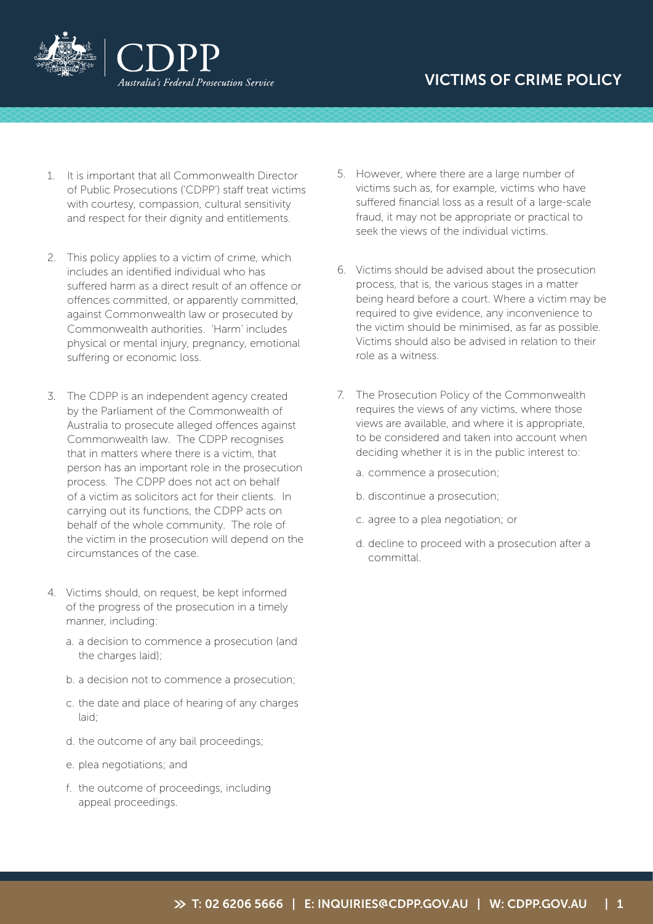



- 1. It is important that all Commonwealth Director of Public Prosecutions ('CDPP') staff treat victims with courtesy, compassion, cultural sensitivity and respect for their dignity and entitlements.
- 2. This policy applies to a victim of crime, which includes an identified individual who has suffered harm as a direct result of an offence or offences committed, or apparently committed, against Commonwealth law or prosecuted by Commonwealth authorities. 'Harm' includes physical or mental injury, pregnancy, emotional suffering or economic loss.
- 3. The CDPP is an independent agency created by the Parliament of the Commonwealth of Australia to prosecute alleged offences against Commonwealth law. The CDPP recognises that in matters where there is a victim, that person has an important role in the prosecution process. The CDPP does not act on behalf of a victim as solicitors act for their clients. In carrying out its functions, the CDPP acts on behalf of the whole community. The role of the victim in the prosecution will depend on the circumstances of the case.
- 4. Victims should, on request, be kept informed of the progress of the prosecution in a timely manner, including:
	- a. a decision to commence a prosecution (and the charges laid);
	- b. a decision not to commence a prosecution;
	- c. the date and place of hearing of any charges laid;
	- d. the outcome of any bail proceedings;
	- e. plea negotiations; and
	- f. the outcome of proceedings, including appeal proceedings.
- 5. However, where there are a large number of victims such as, for example, victims who have suffered financial loss as a result of a large-scale fraud, it may not be appropriate or practical to seek the views of the individual victims.
- 6. Victims should be advised about the prosecution process, that is, the various stages in a matter being heard before a court. Where a victim may be required to give evidence, any inconvenience to the victim should be minimised, as far as possible. Victims should also be advised in relation to their role as a witness.
- 7. The Prosecution Policy of the Commonwealth requires the views of any victims, where those views are available, and where it is appropriate, to be considered and taken into account when deciding whether it is in the public interest to:
	- a. commence a prosecution;
	- b. discontinue a prosecution;
	- c. agree to a plea negotiation; or
	- d. decline to proceed with a prosecution after a committal.